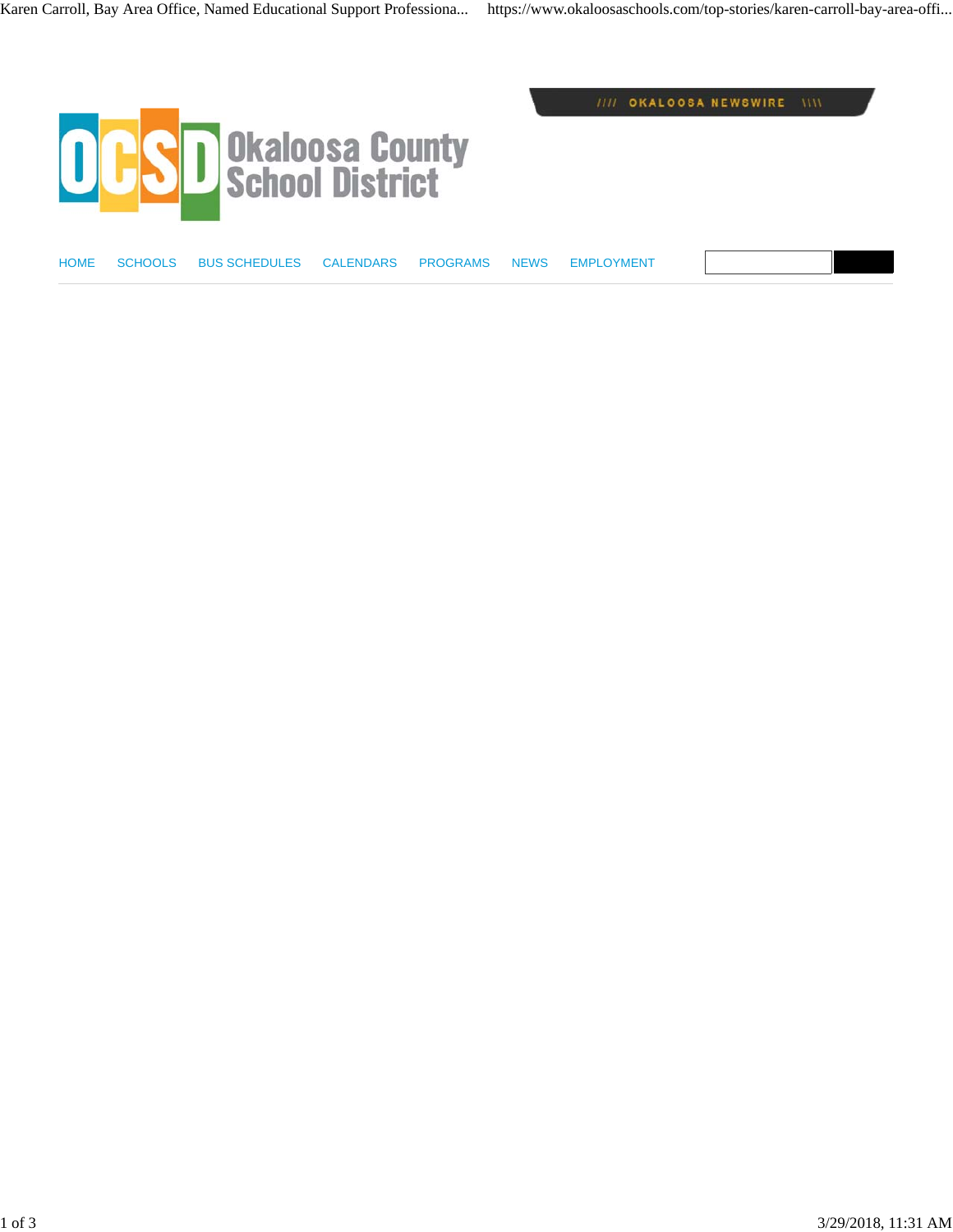

HOME SCHOOLS BUS SCHEDULES CALENDARS PROGRAMS NEWS EMPLOYMENT

//// OKALOOSA NEWSWIRE \\\\

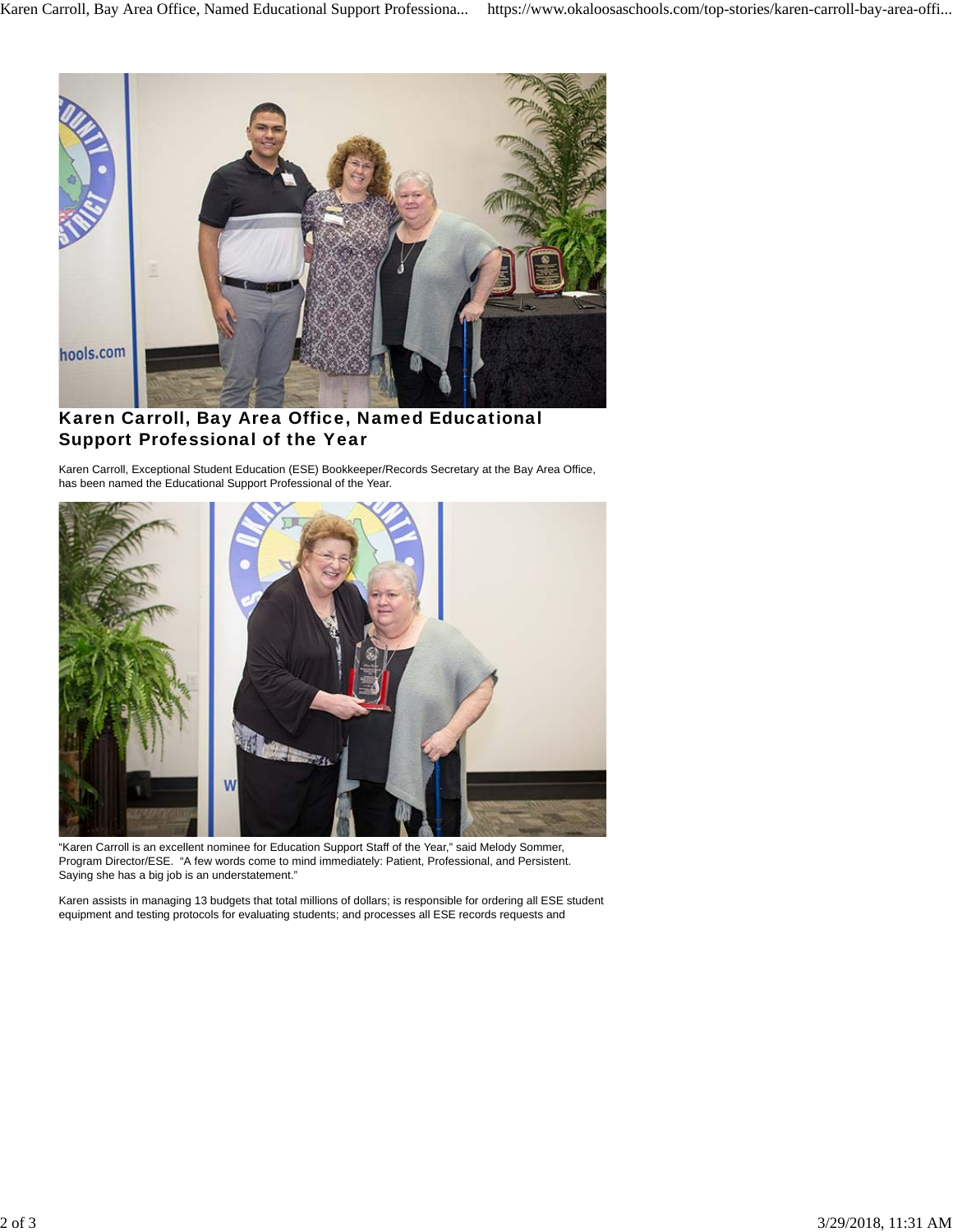

## Karen Carroll, Bay Area Office, Named Educational Support Professional of the Year

Karen Carroll, Exceptional Student Education (ESE) Bookkeeper/Records Secretary at the Bay Area Office, has been named the Educational Support Professional of the Year.



"Karen Carroll is an excellent nominee for Education Support Staff of the Year," said Melody Sommer, Program Director/ESE. "A few words come to mind immediately: Patient, Professional, and Persistent. Saying she has a big job is an understatement."

Karen assists in managing 13 budgets that total millions of dollars; is responsible for ordering all ESE student equipment and testing protocols for evaluating students; and processes all ESE records requests and